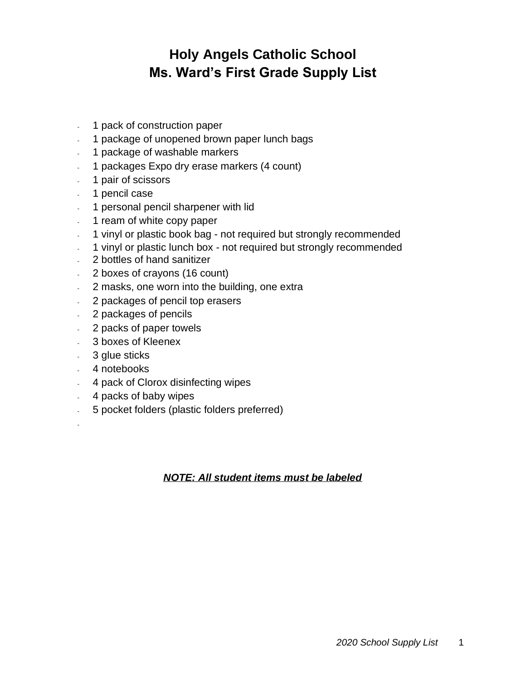## **Holy Angels Catholic School Ms. Ward's First Grade Supply List**

- 1 pack of construction paper
- 1 package of unopened brown paper lunch bags
- 1 package of washable markers
- 1 packages Expo dry erase markers (4 count)
- 1 pair of scissors
- 1 pencil case
- 1 personal pencil sharpener with lid
- 1 ream of white copy paper
- 1 vinyl or plastic book bag not required but strongly recommended
- 1 vinyl or plastic lunch box not required but strongly recommended
- 2 bottles of hand sanitizer
- 2 boxes of crayons (16 count)
- 2 masks, one worn into the building, one extra
- 2 packages of pencil top erasers
- 2 packages of pencils
- 2 packs of paper towels
- 3 boxes of Kleenex
- 3 glue sticks
- 4 notebooks
- 4 pack of Clorox disinfecting wipes
- 4 packs of baby wipes
- 5 pocket folders (plastic folders preferred)
- -

## *NOTE: All student items must be labeled*